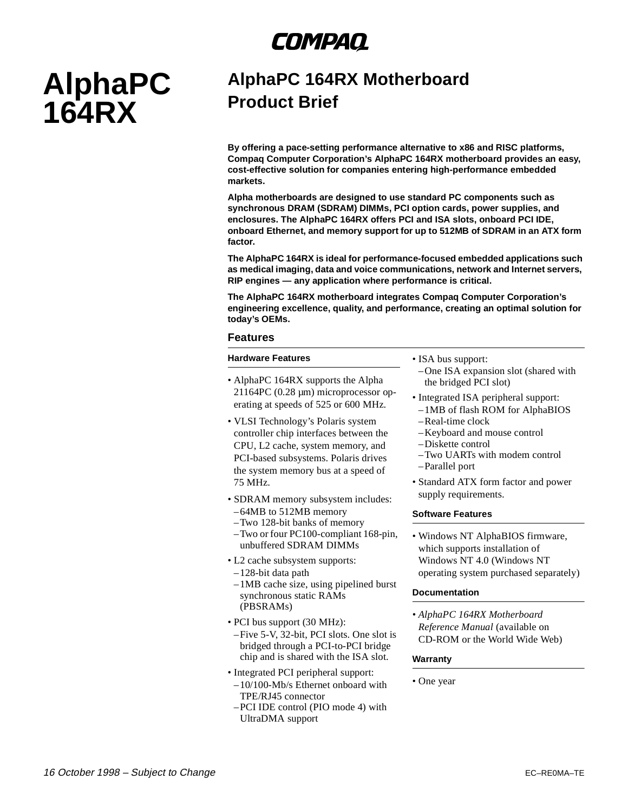## COMPAQ

# **AlphaPC 164RX**

### **AlphaPC 164RX Motherboard Product Brief**

**By offering a pace-setting performance alternative to x86 and RISC platforms, Compaq Computer Corporation's AlphaPC 164RX motherboard provides an easy, cost-effective solution for companies entering high-performance embedded markets.**

**Alpha motherboards are designed to use standard PC components such as synchronous DRAM (SDRAM) DIMMs, PCI option cards, power supplies, and enclosures. The AlphaPC 164RX offers PCI and ISA slots, onboard PCI IDE, onboard Ethernet, and memory support for up to 512MB of SDRAM in an ATX form factor.**

**The AlphaPC 164RX is ideal for performance-focused embedded applications such as medical imaging, data and voice communications, network and Internet servers, RIP engines — any application where performance is critical.**

**The AlphaPC 164RX motherboard integrates Compaq Computer Corporation's engineering excellence, quality, and performance, creating an optimal solution for today's OEMs.** 

#### **Features**

#### **Hardware Features**

- AlphaPC 164RX supports the Alpha 21164PC (0.28 µm) microprocessor operating at speeds of 525 or 600 MHz.
- VLSI Technology's Polaris system controller chip interfaces between the CPU, L2 cache, system memory, and PCI-based subsystems. Polaris drives the system memory bus at a speed of 75 MHz.
- SDRAM memory subsystem includes:
- –64MB to 512MB memory
- –Two 128-bit banks of memory
- –Two or four PC100-compliant 168-pin, unbuffered SDRAM DIMMs
- L2 cache subsystem supports:
- –128-bit data path
- –1MB cache size, using pipelined burst synchronous static RAMs (PBSRAMs)
- PCI bus support (30 MHz): –Five 5-V, 32-bit, PCI slots. One slot is bridged through a PCI-to-PCI bridge chip and is shared with the ISA slot.
- Integrated PCI peripheral support: –10/100-Mb/s Ethernet onboard with TPE/RJ45 connector
- –PCI IDE control (PIO mode 4) with UltraDMA support

• ISA bus support:

- –One ISA expansion slot (shared with the bridged PCI slot)
- Integrated ISA peripheral support:
- –1MB of flash ROM for AlphaBIOS –Real-time clock
- –Keyboard and mouse control
- –Diskette control
- –Two UARTs with modem control
- –Parallel port
- Standard ATX form factor and power supply requirements.

#### **Software Features**

• Windows NT AlphaBIOS firmware, which supports installation of Windows NT 4.0 (Windows NT operating system purchased separately)

#### **Documentation**

*• AlphaPC 164RX Motherboard Reference Manual* (available on CD-ROM or the World Wide Web)

#### **Warranty**

• One year